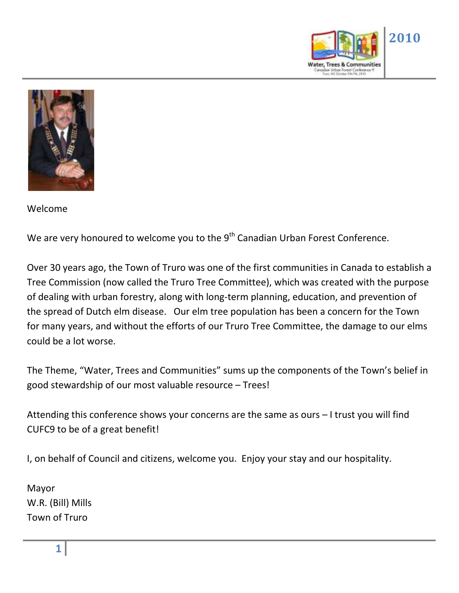



Welcome

We are very honoured to welcome you to the  $9<sup>th</sup>$  Canadian Urban Forest Conference.

Over 30 years ago, the Town of Truro was one of the first communities in Canada to establish a Tree Commission (now called the Truro Tree Committee), which was created with the purpose of dealing with urban forestry, along with long-term planning, education, and prevention of the spread of Dutch elm disease. Our elm tree population has been a concern for the Town for many years, and without the efforts of our Truro Tree Committee, the damage to our elms could be a lot worse.

The Theme, "Water, Trees and Communities" sums up the components of the Town's belief in good stewardship of our most valuable resource – Trees!

Attending this conference shows your concerns are the same as ours – I trust you will find CUFC9 to be of a great benefit!

I, on behalf of Council and citizens, welcome you. Enjoy your stay and our hospitality.

Mayor W.R. (Bill) Mills Town of Truro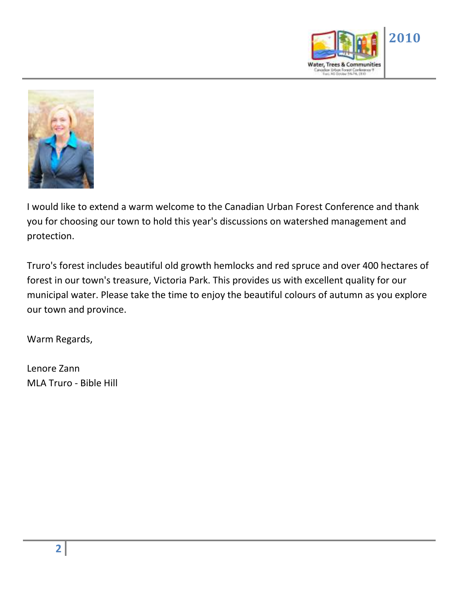



I would like to extend a warm welcome to the Canadian Urban Forest Conference and thank you for choosing our town to hold this year's discussions on watershed management and protection.

Truro's forest includes beautiful old growth hemlocks and red spruce and over 400 hectares of forest in our town's treasure, Victoria Park. This provides us with excellent quality for our municipal water. Please take the time to enjoy the beautiful colours of autumn as you explore our town and province.

Warm Regards,

Lenore Zann MLA Truro - Bible Hill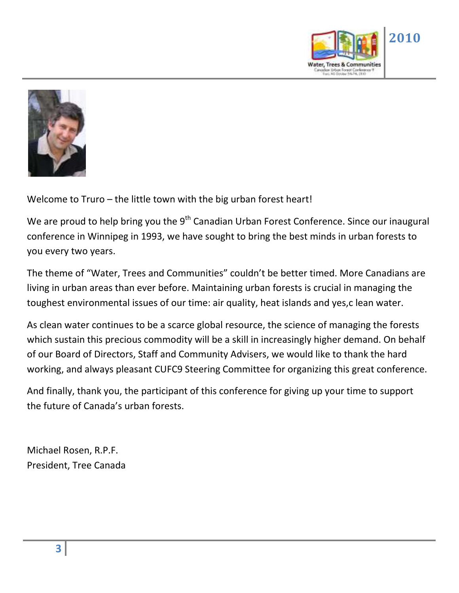



Welcome to Truro – the little town with the big urban forest heart!

We are proud to help bring you the  $9<sup>th</sup>$  Canadian Urban Forest Conference. Since our inaugural conference in Winnipeg in 1993, we have sought to bring the best minds in urban forests to you every two years.

The theme of "Water, Trees and Communities" couldn't be better timed. More Canadians are living in urban areas than ever before. Maintaining urban forests is crucial in managing the toughest environmental issues of our time: air quality, heat islands and yes,c lean water.

As clean water continues to be a scarce global resource, the science of managing the forests which sustain this precious commodity will be a skill in increasingly higher demand. On behalf of our Board of Directors, Staff and Community Advisers, we would like to thank the hard working, and always pleasant CUFC9 Steering Committee for organizing this great conference.

And finally, thank you, the participant of this conference for giving up your time to support the future of Canada's urban forests.

Michael Rosen, R.P.F. President, Tree Canada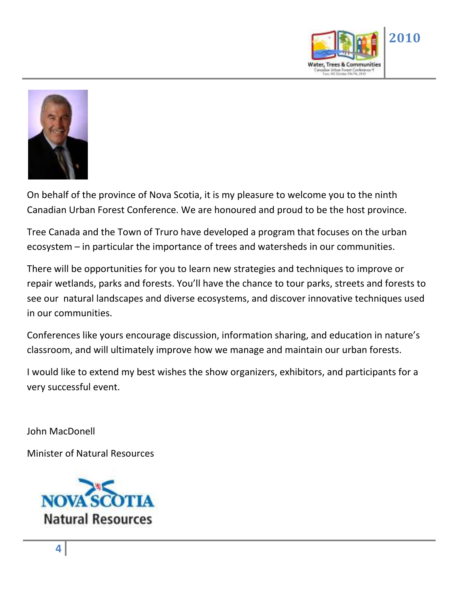



On behalf of the province of Nova Scotia, it is my pleasure to welcome you to the ninth Canadian Urban Forest Conference. We are honoured and proud to be the host province.

Tree Canada and the Town of Truro have developed a program that focuses on the urban ecosystem – in particular the importance of trees and watersheds in our communities.

There will be opportunities for you to learn new strategies and techniques to improve or repair wetlands, parks and forests. You'll have the chance to tour parks, streets and forests to see our natural landscapes and diverse ecosystems, and discover innovative techniques used in our communities.

Conferences like yours encourage discussion, information sharing, and education in nature's classroom, and will ultimately improve how we manage and maintain our urban forests.

I would like to extend my best wishes the show organizers, exhibitors, and participants for a very successful event.

John MacDonell

Minister of Natural Resources

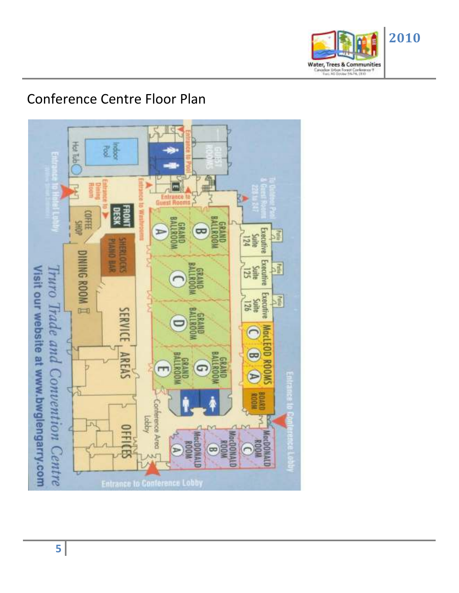

## Conference Centre Floor Plan

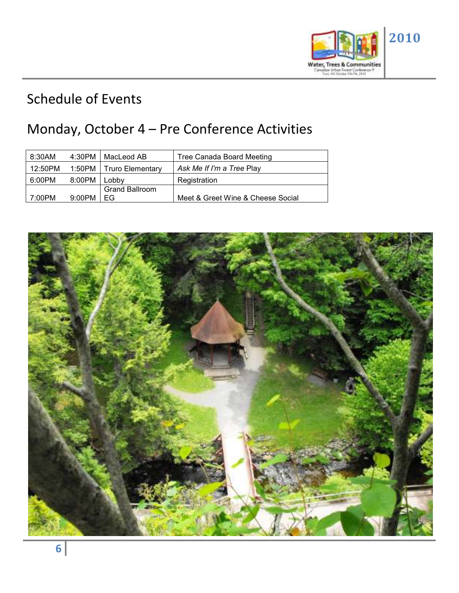

## Schedule of Events

## Monday, October 4 – Pre Conference Activities

| 8:30AM  | 4:30PM    | MacLeod AB            | Tree Canada Board Meeting         |
|---------|-----------|-----------------------|-----------------------------------|
| 12:50PM | 1:50PM    | Truro Elementary      | Ask Me If I'm a Tree Play         |
| 6:00PM  | 8:00PM    | Lobby                 | Registration                      |
|         |           | <b>Grand Ballroom</b> |                                   |
| 7:00PM  | $9:00$ PM | EG                    | Meet & Greet Wine & Cheese Social |

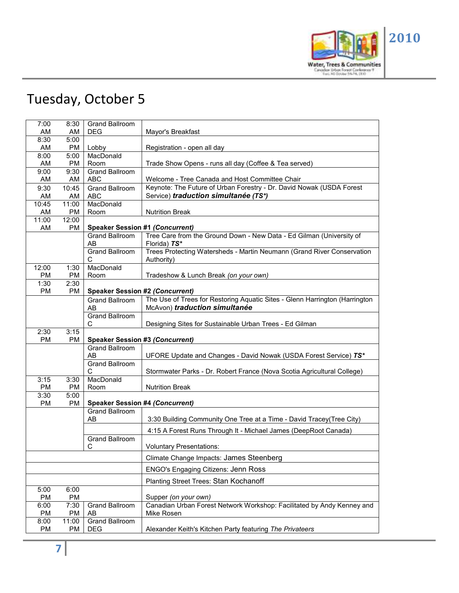

# Tuesday, October 5

| $\overline{7}:00$<br>AM | 8:30<br>AM        | <b>Grand Ballroom</b><br>DEG                                    | Mayor's Breakfast                                                                    |
|-------------------------|-------------------|-----------------------------------------------------------------|--------------------------------------------------------------------------------------|
| 8:30                    | 5:00              |                                                                 |                                                                                      |
| AM                      | <b>PM</b>         | Lobby                                                           | Registration - open all day                                                          |
| 8:00                    | 5:00              | MacDonald                                                       |                                                                                      |
| AM<br>9:00              | PM<br>9:30        | Room<br><b>Grand Ballroom</b>                                   | Trade Show Opens - runs all day (Coffee & Tea served)                                |
| AM                      | AM                | <b>ABC</b>                                                      | Welcome - Tree Canada and Host Committee Chair                                       |
| 9:30                    | 10:45             | <b>Grand Ballroom</b>                                           | Keynote: The Future of Urban Forestry - Dr. David Nowak (USDA Forest                 |
| AM                      | AM                | <b>ABC</b>                                                      | Service) traduction simultanée (TS*)                                                 |
| 10:45                   | 11:00             | MacDonald                                                       |                                                                                      |
| AM<br>11:00             | PM<br>12:00       | Room                                                            | <b>Nutrition Break</b>                                                               |
| AM                      | <b>PM</b>         | <b>Speaker Session #1 (Concurrent)</b>                          |                                                                                      |
|                         |                   | <b>Grand Ballroom</b><br>AB                                     | Tree Care from the Ground Down - New Data - Ed Gilman (University of<br>Florida) TS* |
|                         |                   | <b>Grand Ballroom</b><br>C                                      | Trees Protecting Watersheds - Martin Neumann (Grand River Conservation<br>Authority) |
| 12:00<br><b>PM</b>      | 1:30<br>PM        | MacDonald<br>Room                                               | Tradeshow & Lunch Break (on your own)                                                |
| 1:30<br><b>PM</b>       | 2:30<br><b>PM</b> | <b>Speaker Session #2 (Concurrent)</b>                          |                                                                                      |
|                         |                   | <b>Grand Ballroom</b>                                           | The Use of Trees for Restoring Aquatic Sites - Glenn Harrington (Harrington          |
|                         |                   | AB<br><b>Grand Ballroom</b>                                     | McAvon) traduction simultanée                                                        |
|                         |                   | С                                                               | Designing Sites for Sustainable Urban Trees - Ed Gilman                              |
| 2:30                    | 3:15              |                                                                 |                                                                                      |
| <b>PM</b>               | PM                | <b>Speaker Session #3 (Concurrent)</b><br><b>Grand Ballroom</b> |                                                                                      |
|                         |                   | AB                                                              | UFORE Update and Changes - David Nowak (USDA Forest Service) TS*                     |
|                         |                   | <b>Grand Ballroom</b>                                           |                                                                                      |
|                         |                   | C                                                               | Stormwater Parks - Dr. Robert France (Nova Scotia Agricultural College)              |
| 3:15<br>PM              | 3:30<br>PM        | MacDonald<br>Room                                               | <b>Nutrition Break</b>                                                               |
| 3:30                    | 5:00              |                                                                 |                                                                                      |
| <b>PM</b>               |                   |                                                                 |                                                                                      |
|                         | <b>PM</b>         | <b>Speaker Session #4 (Concurrent)</b>                          |                                                                                      |
|                         |                   | <b>Grand Ballroom</b><br>AB                                     | 3:30 Building Community One Tree at a Time - David Tracey(Tree City)                 |
|                         |                   |                                                                 | 4:15 A Forest Runs Through It - Michael James (DeepRoot Canada)                      |
|                         |                   | <b>Grand Ballroom</b>                                           |                                                                                      |
|                         |                   | С                                                               | <b>Voluntary Presentations:</b>                                                      |
|                         |                   |                                                                 | Climate Change Impacts: James Steenberg                                              |
|                         |                   |                                                                 | <b>ENGO's Engaging Citizens: Jenn Ross</b>                                           |
|                         |                   |                                                                 | Planting Street Trees: Stan Kochanoff                                                |
| 5:00                    | 6:00              |                                                                 |                                                                                      |
| <b>PM</b>               | <b>PM</b>         |                                                                 | Supper (on your own)                                                                 |
| 6:00<br>PM              | 7:30<br>PM        | <b>Grand Ballroom</b><br>AB                                     | Canadian Urban Forest Network Workshop: Facilitated by Andy Kenney and<br>Mike Rosen |
| 8:00<br>PM              | 11:00<br>PM       | <b>Grand Ballroom</b><br><b>DEG</b>                             | Alexander Keith's Kitchen Party featuring The Privateers                             |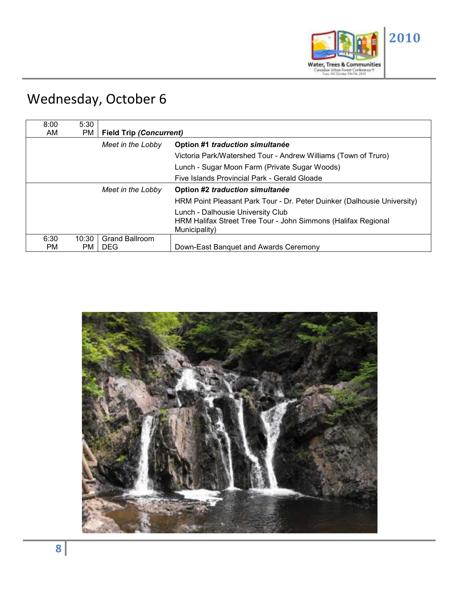

# Wednesday, October 6

| 8:00      | 5:30      |                                |                                                                                                                     |
|-----------|-----------|--------------------------------|---------------------------------------------------------------------------------------------------------------------|
| AM        | <b>PM</b> | <b>Field Trip (Concurrent)</b> |                                                                                                                     |
|           |           | Meet in the Lobby              | Option #1 traduction simultanée                                                                                     |
|           |           |                                | Victoria Park/Watershed Tour - Andrew Williams (Town of Truro)                                                      |
|           |           |                                | Lunch - Sugar Moon Farm (Private Sugar Woods)                                                                       |
|           |           |                                | Five Islands Provincial Park - Gerald Gloade                                                                        |
|           |           | Meet in the Lobby              | Option #2 traduction simultanée                                                                                     |
|           |           |                                | HRM Point Pleasant Park Tour - Dr. Peter Duinker (Dalhousie University)                                             |
|           |           |                                | Lunch - Dalhousie University Club<br>HRM Halifax Street Tree Tour - John Simmons (Halifax Regional<br>Municipality) |
| 6:30      | 10:30     | <b>Grand Ballroom</b>          |                                                                                                                     |
| <b>PM</b> | PM        | <b>DEG</b>                     | Down-East Banguet and Awards Ceremony                                                                               |

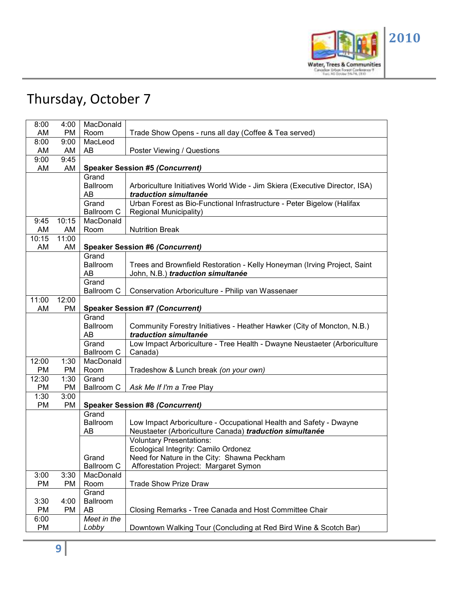

# Thursday, October 7

| 8:00        | 4:00               | MacDonald         |                                                                                     |
|-------------|--------------------|-------------------|-------------------------------------------------------------------------------------|
| AM          | <b>PM</b>          | Room              | Trade Show Opens - runs all day (Coffee & Tea served)                               |
| 8:00        | 9:00               | MacLeod           |                                                                                     |
| AM          | AM                 | AB                | Poster Viewing / Questions                                                          |
| 9:00<br>AM  | 9:45<br>AM         |                   | <b>Speaker Session #5 (Concurrent)</b>                                              |
|             |                    | Grand             |                                                                                     |
|             |                    | Ballroom          | Arboriculture Initiatives World Wide - Jim Skiera (Executive Director, ISA)         |
|             |                    | AB                | traduction simultanée                                                               |
|             |                    | Grand             | Urban Forest as Bio-Functional Infrastructure - Peter Bigelow (Halifax              |
|             |                    | <b>Ballroom C</b> | <b>Regional Municipality)</b>                                                       |
| 9:45<br>AM  | 10:15<br>AM        | MacDonald<br>Room | <b>Nutrition Break</b>                                                              |
| 10:15       | $\overline{1}1:00$ |                   |                                                                                     |
| AM          | AM                 |                   | <b>Speaker Session #6 (Concurrent)</b>                                              |
|             |                    | Grand             |                                                                                     |
|             |                    | Ballroom          | Trees and Brownfield Restoration - Kelly Honeyman (Irving Project, Saint            |
|             |                    | AB                | John, N.B.) traduction simultanée                                                   |
|             |                    | Grand             |                                                                                     |
| 11:00       | 12:00              | Ballroom C        | Conservation Arboriculture - Philip van Wassenaer                                   |
| AM          | PM                 |                   | <b>Speaker Session #7 (Concurrent)</b>                                              |
|             |                    | Grand             |                                                                                     |
|             |                    | Ballroom          | Community Forestry Initiatives - Heather Hawker (City of Moncton, N.B.)             |
|             |                    | AB                | traduction simultanée                                                               |
|             |                    | Grand             | Low Impact Arboriculture - Tree Health - Dwayne Neustaeter (Arboriculture           |
|             |                    | <b>Ballroom C</b> | Canada)                                                                             |
| 12:00       | 1:30               | MacDonald         |                                                                                     |
| PM<br>12:30 | PM<br>1:30         | Room<br>Grand     | Tradeshow & Lunch break (on your own)                                               |
| PM          | <b>PM</b>          | <b>Ballroom C</b> | Ask Me If I'm a Tree Play                                                           |
| 1:30        | 3:00               |                   |                                                                                     |
| PM          | <b>PM</b>          |                   | <b>Speaker Session #8 (Concurrent)</b>                                              |
|             |                    | Grand             |                                                                                     |
|             |                    | Ballroom          | Low Impact Arboriculture - Occupational Health and Safety - Dwayne                  |
|             |                    | AB                | Neustaeter (Arboriculture Canada) traduction simultanée                             |
|             |                    |                   | <b>Voluntary Presentations:</b>                                                     |
|             |                    | Grand             | Ecological Integrity: Camilo Ordonez<br>Need for Nature in the City: Shawna Peckham |
|             |                    | <b>Ballroom C</b> | Afforestation Project: Margaret Symon                                               |
| 3:00        | 3:30               | MacDonald         |                                                                                     |
| PM          | PM                 | Room              | <b>Trade Show Prize Draw</b>                                                        |
|             |                    | Grand             |                                                                                     |
| 3:30        | 4:00               | Ballroom          |                                                                                     |
| PM          | PM                 | AB                | Closing Remarks - Tree Canada and Host Committee Chair                              |
| 6:00        |                    | Meet in the       |                                                                                     |
| PM          |                    | Lobby             | Downtown Walking Tour (Concluding at Red Bird Wine & Scotch Bar)                    |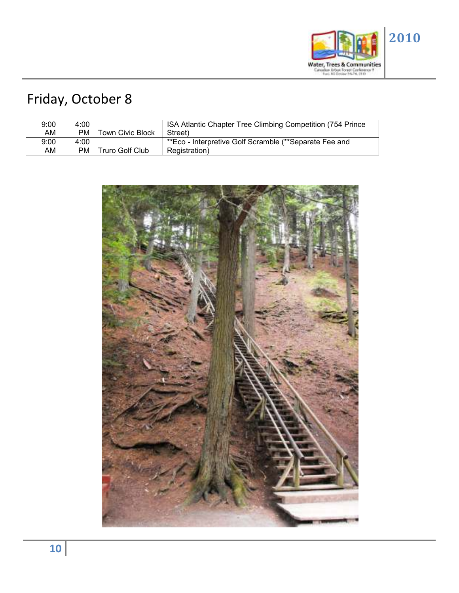

# Friday, October 8

| 9:00 | 4:00 |                         | ISA Atlantic Chapter Tree Climbing Competition (754 Prince |
|------|------|-------------------------|------------------------------------------------------------|
| AM   | PМ   | <b>Town Civic Block</b> | Street)                                                    |
| 9:00 | 4:00 |                         | **Eco - Interpretive Golf Scramble (**Separate Fee and     |
| AM   | PM.  | Truro Golf Club         | Registration)                                              |

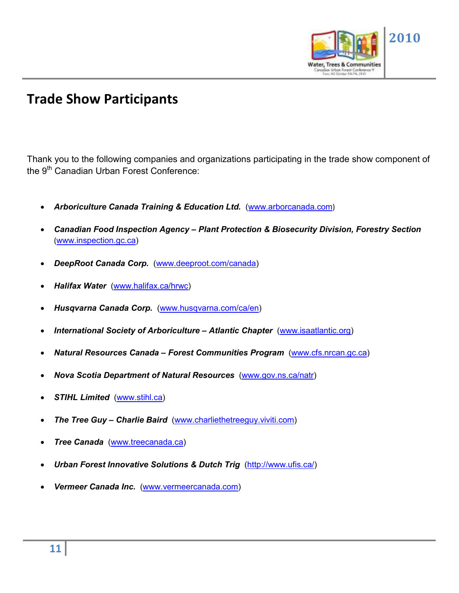

### **Trade Show Participants**

Thank you to the following companies and organizations participating in the trade show component of the 9<sup>th</sup> Canadian Urban Forest Conference:

- *Arboriculture Canada Training & Education Ltd.*(www.arborcanada.com)
- *Canadian Food Inspection Agency Plant Protection & Biosecurity Division, Forestry Section*  (www.inspection.gc.ca)
- *DeepRoot Canada Corp.*(www.deeproot.com/canada)
- *Halifax Water*(www.halifax.ca/hrwc)
- *Husqvarna Canada Corp.* (www.husqvarna.com/ca/en)
- *International Society of Arboriculture Atlantic Chapter*(www.isaatlantic.org)
- *Natural Resources Canada Forest Communities Program* (www.cfs.nrcan.gc.ca)
- *Nova Scotia Department of Natural Resources*(www.gov.ns.ca/natr)
- *STIHL Limited*(www.stihl.ca)
- *The Tree Guy Charlie Baird*(www.charliethetreeguy.viviti.com)
- *Tree Canada*(www.treecanada.ca)
- *Urban Forest Innovative Solutions & Dutch Trig*(http://www.ufis.ca/)
- *Vermeer Canada Inc.*(www.vermeercanada.com)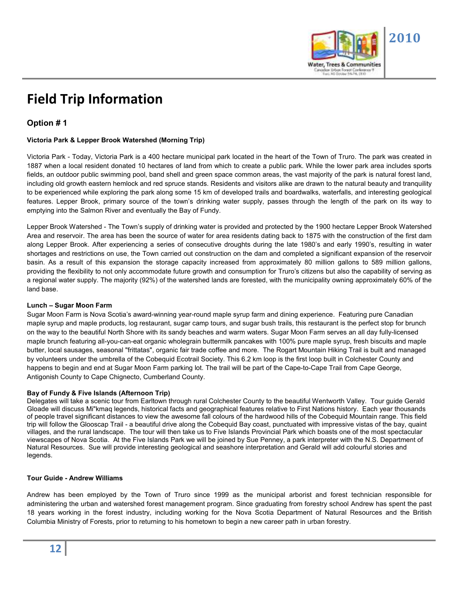

# **Field Trip Information**

#### **Option # 1**

#### **Victoria Park & Lepper Brook Watershed (Morning Trip)**

Victoria Park - Today, Victoria Park is a 400 hectare municipal park located in the heart of the Town of Truro. The park was created in 1887 when a local resident donated 10 hectares of land from which to create a public park. While the lower park area includes sports fields, an outdoor public swimming pool, band shell and green space common areas, the vast majority of the park is natural forest land, including old growth eastern hemlock and red spruce stands. Residents and visitors alike are drawn to the natural beauty and tranquility to be experienced while exploring the park along some 15 km of developed trails and boardwalks, waterfalls, and interesting geological features. Lepper Brook, primary source of the town's drinking water supply, passes through the length of the park on its way to emptying into the Salmon River and eventually the Bay of Fundy.

Lepper Brook Watershed - The Town's supply of drinking water is provided and protected by the 1900 hectare Lepper Brook Watershed Area and reservoir. The area has been the source of water for area residents dating back to 1875 with the construction of the first dam along Lepper Brook. After experiencing a series of consecutive droughts during the late 1980's and early 1990's, resulting in water shortages and restrictions on use, the Town carried out construction on the dam and completed a significant expansion of the reservoir basin. As a result of this expansion the storage capacity increased from approximately 80 million gallons to 589 million gallons, providing the flexibility to not only accommodate future growth and consumption for Truro's citizens but also the capability of serving as a regional water supply. The majority (92%) of the watershed lands are forested, with the municipality owning approximately 60% of the land base.

#### **Lunch – Sugar Moon Farm**

Sugar Moon Farm is Nova Scotia's award-winning year-round maple syrup farm and dining experience. Featuring pure Canadian maple syrup and maple products, log restaurant, sugar camp tours, and sugar bush trails, this restaurant is the perfect stop for brunch on the way to the beautiful North Shore with its sandy beaches and warm waters. Sugar Moon Farm serves an all day fully-licensed maple brunch featuring all-you-can-eat organic wholegrain buttermilk pancakes with 100% pure maple syrup, fresh biscuits and maple butter, local sausages, seasonal "frittatas", organic fair trade coffee and more. The Rogart Mountain Hiking Trail is built and managed by volunteers under the umbrella of the Cobequid Ecotrail Society. This 6.2 km loop is the first loop built in Colchester County and happens to begin and end at Sugar Moon Farm parking lot. The trail will be part of the Cape-to-Cape Trail from Cape George, Antigonish County to Cape Chignecto, Cumberland County.

#### **Bay of Fundy & Five Islands (Afternoon Trip)**

Delegates will take a scenic tour from Earltown through rural Colchester County to the beautiful Wentworth Valley. Tour guide Gerald Gloade will discuss Mi"kmaq legends, historical facts and geographical features relative to First Nations history. Each year thousands of people travel significant distances to view the awesome fall colours of the hardwood hills of the Cobequid Mountain range. This field trip will follow the Glooscap Trail - a beautiful drive along the Cobequid Bay coast, punctuated with impressive vistas of the bay, quaint villages, and the rural landscape. The tour will then take us to Five Islands Provincial Park which boasts one of the most spectacular viewscapes of Nova Scotia. At the Five Islands Park we will be joined by Sue Penney, a park interpreter with the N.S. Department of Natural Resources. Sue will provide interesting geological and seashore interpretation and Gerald will add colourful stories and legends.

#### **Tour Guide - Andrew Williams**

Andrew has been employed by the Town of Truro since 1999 as the municipal arborist and forest technician responsible for administering the urban and watershed forest management program. Since graduating from forestry school Andrew has spent the past 18 years working in the forest industry, including working for the Nova Scotia Department of Natural Resources and the British Columbia Ministry of Forests, prior to returning to his hometown to begin a new career path in urban forestry.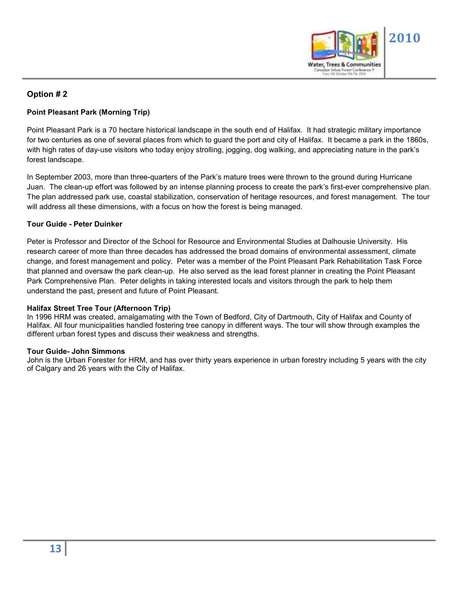

#### **Option # 2**

#### **Point Pleasant Park (Morning Trip)**

Point Pleasant Park is a 70 hectare historical landscape in the south end of Halifax. It had strategic military importance for two centuries as one of several places from which to guard the port and city of Halifax. It became a park in the 1860s, with high rates of day-use visitors who today enjoy strolling, jogging, dog walking, and appreciating nature in the park's forest landscape.

In September 2003, more than three-quarters of the Park's mature trees were thrown to the ground during Hurricane Juan. The clean-up effort was followed by an intense planning process to create the park's first-ever comprehensive plan. The plan addressed park use, coastal stabilization, conservation of heritage resources, and forest management. The tour will address all these dimensions, with a focus on how the forest is being managed.

#### **Tour Guide - Peter Duinker**

Peter is Professor and Director of the School for Resource and Environmental Studies at Dalhousie University. His research career of more than three decades has addressed the broad domains of environmental assessment, climate change, and forest management and policy. Peter was a member of the Point Pleasant Park Rehabilitation Task Force that planned and oversaw the park clean-up. He also served as the lead forest planner in creating the Point Pleasant Park Comprehensive Plan. Peter delights in taking interested locals and visitors through the park to help them understand the past, present and future of Point Pleasant.

#### **Halifax Street Tree Tour (Afternoon Trip)**

In 1996 HRM was created, amalgamating with the Town of Bedford, City of Dartmouth, City of Halifax and County of Halifax. All four municipalities handled fostering tree canopy in different ways. The tour will show through examples the different urban forest types and discuss their weakness and strengths.

#### **Tour Guide- John Simmons**

John is the Urban Forester for HRM, and has over thirty years experience in urban forestry including 5 years with the city of Calgary and 26 years with the City of Halifax.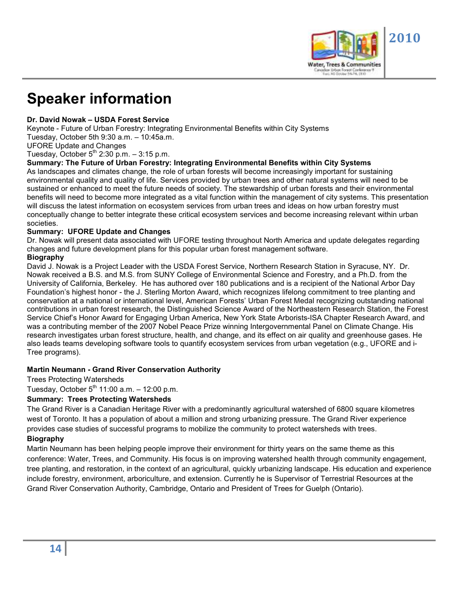

## **Speaker information**

#### **Dr. David Nowak – USDA Forest Service**

Keynote - Future of Urban Forestry: Integrating Environmental Benefits within City Systems Tuesday, October 5th 9:30 a.m. – 10:45a.m.

UFORE Update and Changes

Tuesday, October  $5^{th}$  2:30 p.m.  $-$  3:15 p.m.

#### **Summary: The Future of Urban Forestry: Integrating Environmental Benefits within City Systems**

As landscapes and climates change, the role of urban forests will become increasingly important for sustaining environmental quality and quality of life. Services provided by urban trees and other natural systems will need to be sustained or enhanced to meet the future needs of society. The stewardship of urban forests and their environmental benefits will need to become more integrated as a vital function within the management of city systems. This presentation will discuss the latest information on ecosystem services from urban trees and ideas on how urban forestry must conceptually change to better integrate these critical ecosystem services and become increasing relevant within urban societies.

#### **Summary: UFORE Update and Changes**

Dr. Nowak will present data associated with UFORE testing throughout North America and update delegates regarding changes and future development plans for this popular urban forest management software.

#### **Biography**

David J. Nowak is a Project Leader with the USDA Forest Service, Northern Research Station in Syracuse, NY. Dr. Nowak received a B.S. and M.S. from SUNY College of Environmental Science and Forestry, and a Ph.D. from the University of California, Berkeley. He has authored over 180 publications and is a recipient of the National Arbor Day Foundation's highest honor - the J. Sterling Morton Award, which recognizes lifelong commitment to tree planting and conservation at a national or international level, American Forests' Urban Forest Medal recognizing outstanding national contributions in urban forest research, the Distinguished Science Award of the Northeastern Research Station, the Forest Service Chief's Honor Award for Engaging Urban America, New York State Arborists-ISA Chapter Research Award, and was a contributing member of the 2007 Nobel Peace Prize winning Intergovernmental Panel on Climate Change. His research investigates urban forest structure, health, and change, and its effect on air quality and greenhouse gases. He also leads teams developing software tools to quantify ecosystem services from urban vegetation (e.g., UFORE and i-Tree programs).

#### **Martin Neumann - Grand River Conservation Authority**

Trees Protecting Watersheds

Tuesday, October  $5^{th}$  11:00 a.m. - 12:00 p.m.

#### **Summary: Trees Protecting Watersheds**

The Grand River is a Canadian Heritage River with a predominantly agricultural watershed of 6800 square kilometres west of Toronto. It has a population of about a million and strong urbanizing pressure. The Grand River experience provides case studies of successful programs to mobilize the community to protect watersheds with trees.

#### **Biography**

Martin Neumann has been helping people improve their environment for thirty years on the same theme as this conference: Water, Trees, and Community. His focus is on improving watershed health through community engagement, tree planting, and restoration, in the context of an agricultural, quickly urbanizing landscape. His education and experience include forestry, environment, arboriculture, and extension. Currently he is Supervisor of Terrestrial Resources at the Grand River Conservation Authority, Cambridge, Ontario and President of Trees for Guelph (Ontario).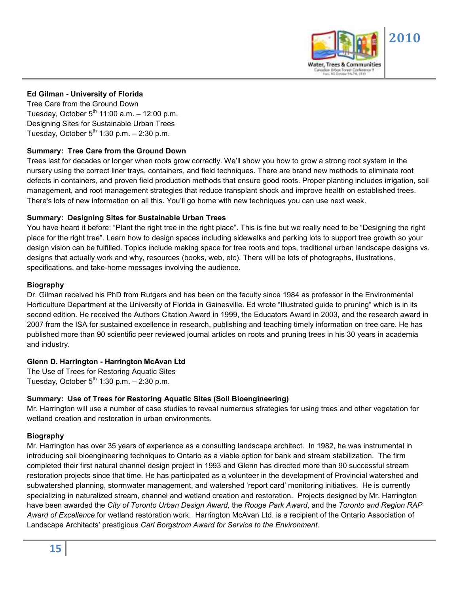

#### **Ed Gilman - University of Florida**

Tree Care from the Ground Down Tuesday, October  $5<sup>th</sup>$  11:00 a.m. – 12:00 p.m. Designing Sites for Sustainable Urban Trees Tuesday, October  $5^{th}$  1:30 p.m.  $-$  2:30 p.m.

#### **Summary: Tree Care from the Ground Down**

Trees last for decades or longer when roots grow correctly. We'll show you how to grow a strong root system in the nursery using the correct liner trays, containers, and field techniques. There are brand new methods to eliminate root defects in containers, and proven field production methods that ensure good roots. Proper planting includes irrigation, soil management, and root management strategies that reduce transplant shock and improve health on established trees. There's lots of new information on all this. You'll go home with new techniques you can use next week.

#### **Summary: Designing Sites for Sustainable Urban Trees**

You have heard it before: "Plant the right tree in the right place". This is fine but we really need to be "Designing the right place for the right tree". Learn how to design spaces including sidewalks and parking lots to support tree growth so your design vision can be fulfilled. Topics include making space for tree roots and tops, traditional urban landscape designs vs. designs that actually work and why, resources (books, web, etc). There will be lots of photographs, illustrations, specifications, and take-home messages involving the audience.

#### **Biography**

Dr. Gilman received his PhD from Rutgers and has been on the faculty since 1984 as professor in the Environmental Horticulture Department at the University of Florida in Gainesville. Ed wrote "Illustrated guide to pruning" which is in its second edition. He received the Authors Citation Award in 1999, the Educators Award in 2003, and the research award in 2007 from the ISA for sustained excellence in research, publishing and teaching timely information on tree care. He has published more than 90 scientific peer reviewed journal articles on roots and pruning trees in his 30 years in academia and industry.

#### **Glenn D. Harrington - Harrington McAvan Ltd**

The Use of Trees for Restoring Aquatic Sites Tuesday, October  $5<sup>th</sup>$  1:30 p.m. – 2:30 p.m.

#### **Summary: Use of Trees for Restoring Aquatic Sites (Soil Bioengineering)**

Mr. Harrington will use a number of case studies to reveal numerous strategies for using trees and other vegetation for wetland creation and restoration in urban environments.

#### **Biography**

Mr. Harrington has over 35 years of experience as a consulting landscape architect. In 1982, he was instrumental in introducing soil bioengineering techniques to Ontario as a viable option for bank and stream stabilization. The firm completed their first natural channel design project in 1993 and Glenn has directed more than 90 successful stream restoration projects since that time. He has participated as a volunteer in the development of Provincial watershed and subwatershed planning, stormwater management, and watershed 'report card' monitoring initiatives. He is currently specializing in naturalized stream, channel and wetland creation and restoration. Projects designed by Mr. Harrington have been awarded the *City of Toronto Urban Design Award,* the *Rouge Park Award*, and the *Toronto and Region RAP Award of Excellence* for wetland restoration work. Harrington McAvan Ltd. is a recipient of the Ontario Association of Landscape Architects' prestigious *Carl Borgstrom Award for Service to the Environment*.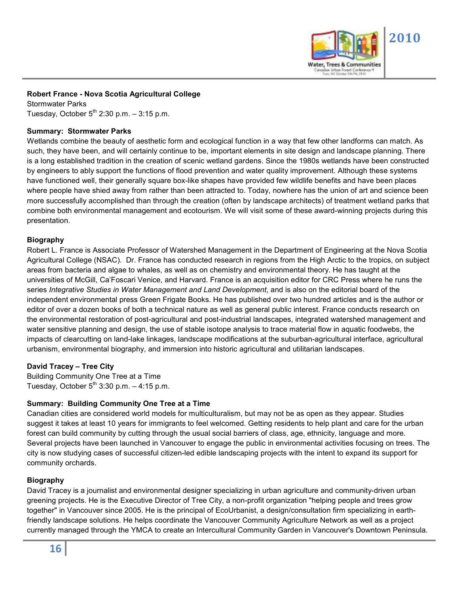

**Robert France - Nova Scotia Agricultural College** 

Stormwater Parks Tuesday, October  $5^{th}$  2:30 p.m.  $-$  3:15 p.m.

#### **Summary: Stormwater Parks**

Wetlands combine the beauty of aesthetic form and ecological function in a way that few other landforms can match. As such, they have been, and will certainly continue to be, important elements in site design and landscape planning. There is a long established tradition in the creation of scenic wetland gardens. Since the 1980s wetlands have been constructed by engineers to ably support the functions of flood prevention and water quality improvement. Although these systems have functioned well, their generally square box-like shapes have provided few wildlife benefits and have been places where people have shied away from rather than been attracted to. Today, nowhere has the union of art and science been more successfully accomplished than through the creation (often by landscape architects) of treatment wetland parks that combine both environmental management and ecotourism. We will visit some of these award-winning projects during this presentation.

#### **Biography**

Robert L. France is Associate Professor of Watershed Management in the Department of Engineering at the Nova Scotia Agricultural College (NSAC). Dr. France has conducted research in regions from the High Arctic to the tropics, on subject areas from bacteria and algae to whales, as well as on chemistry and environmental theory. He has taught at the universities of McGill, Ca'Foscari Venice, and Harvard. France is an acquisition editor for CRC Press where he runs the series *Integrative Studies in Water Management and Land Development*, and is also on the editorial board of the independent environmental press Green Frigate Books. He has published over two hundred articles and is the author or editor of over a dozen books of both a technical nature as well as general public interest. France conducts research on the environmental restoration of post-agricultural and post-industrial landscapes, integrated watershed management and water sensitive planning and design, the use of stable isotope analysis to trace material flow in aquatic foodwebs, the impacts of clearcutting on land-lake linkages, landscape modifications at the suburban-agricultural interface, agricultural urbanism, environmental biography, and immersion into historic agricultural and utilitarian landscapes.

#### **David Tracey – Tree City**

Building Community One Tree at a Time Tuesday, October  $5^{th}$  3:30 p.m.  $-$  4:15 p.m.

#### **Summary: Building Community One Tree at a Time**

Canadian cities are considered world models for multiculturalism, but may not be as open as they appear. Studies suggest it takes at least 10 years for immigrants to feel welcomed. Getting residents to help plant and care for the urban forest can build community by cutting through the usual social barriers of class, age, ethnicity, language and more. Several projects have been launched in Vancouver to engage the public in environmental activities focusing on trees. The city is now studying cases of successful citizen-led edible landscaping projects with the intent to expand its support for community orchards.

#### **Biography**

David Tracey is a journalist and environmental designer specializing in urban agriculture and community-driven urban greening projects. He is the Executive Director of Tree City, a non-profit organization "helping people and trees grow together" in Vancouver since 2005. He is the principal of EcoUrbanist, a design/consultation firm specializing in earthfriendly landscape solutions. He helps coordinate the Vancouver Community Agriculture Network as well as a project currently managed through the YMCA to create an Intercultural Community Garden in Vancouver's Downtown Peninsula.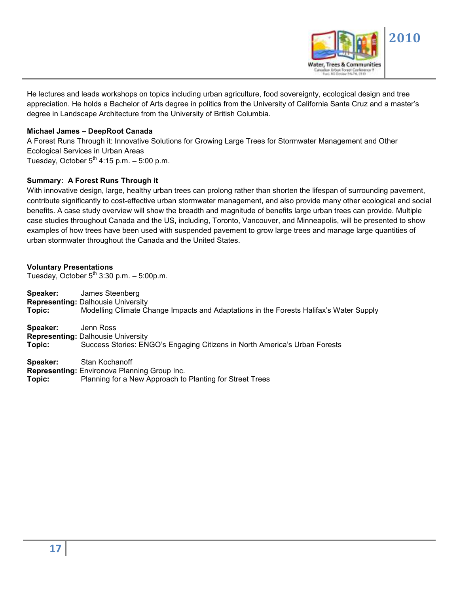

He lectures and leads workshops on topics including urban agriculture, food sovereignty, ecological design and tree appreciation. He holds a Bachelor of Arts degree in politics from the University of California Santa Cruz and a master's degree in Landscape Architecture from the University of British Columbia.

#### **Michael James – DeepRoot Canada**

A Forest Runs Through it: Innovative Solutions for Growing Large Trees for Stormwater Management and Other Ecological Services in Urban Areas Tuesday, October  $5^{th}$  4:15 p.m.  $-5:00$  p.m.

#### **Summary: A Forest Runs Through it**

With innovative design, large, healthy urban trees can prolong rather than shorten the lifespan of surrounding pavement, contribute significantly to cost-effective urban stormwater management, and also provide many other ecological and social benefits. A case study overview will show the breadth and magnitude of benefits large urban trees can provide. Multiple case studies throughout Canada and the US, including, Toronto, Vancouver, and Minneapolis, will be presented to show examples of how trees have been used with suspended pavement to grow large trees and manage large quantities of urban stormwater throughout the Canada and the United States.

#### **Voluntary Presentations**

Tuesday, October  $5^{th}$  3:30 p.m.  $-5:00$ p.m.

**Speaker:** James Steenberg **Representing:** Dalhousie University **Topic:** Modelling Climate Change Impacts and Adaptations in the Forests Halifax's Water Supply

**Speaker:** Jenn Ross **Representing:** Dalhousie University **Topic:** Success Stories: ENGO's Engaging Citizens in North America's Urban Forests

**Speaker:** Stan Kochanoff

**Representing:** Environova Planning Group Inc. **Topic:** Planning for a New Approach to Planting for Street Trees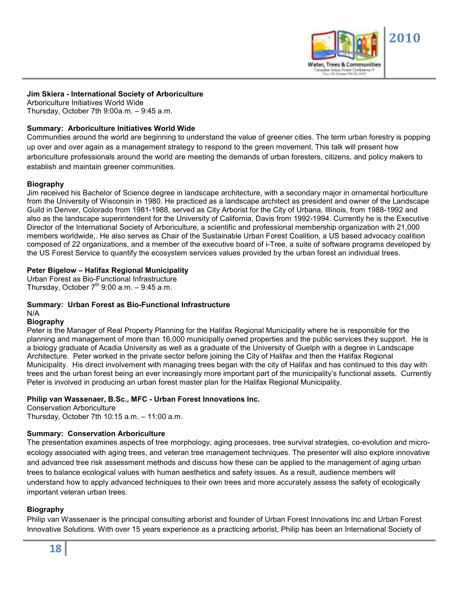

#### **Jim Skiera - International Society of Arboriculture**

Arboriculture Initiatives World Wide Thursday, October 7th 9:00a.m. – 9:45 a.m.

#### **Summary: Arboriculture Initiatives World Wide**

Communities around the world are beginning to understand the value of greener cities. The term urban forestry is popping up over and over again as a management strategy to respond to the green movement. This talk will present how arboriculture professionals around the world are meeting the demands of urban foresters, citizens, and policy makers to establish and maintain greener communities.

#### **Biography**

Jim received his Bachelor of Science degree in landscape architecture, with a secondary major in ornamental horticulture from the University of Wisconsin in 1980. He practiced as a landscape architect as president and owner of the Landscape Guild in Denver, Colorado from 1981-1988, served as City Arborist for the City of Urbana, Illinois, from 1988-1992 and also as the landscape superintendent for the University of California, Davis from 1992-1994. Currently he is the Executive Director of the International Society of Arboriculture, a scientific and professional membership organization with 21,000 members worldwide,. He also serves as Chair of the Sustainable Urban Forest Coalition, a US based advocacy coalition composed of 22 organizations, and a member of the executive board of i-Tree, a suite of software programs developed by the US Forest Service to quantify the ecosystem services values provided by the urban forest an individual trees.

#### **Peter Bigelow – Halifax Regional Municipality**

Urban Forest as Bio-Functional Infrastructure Thursday, October  $7<sup>th</sup>$  9:00 a.m.  $-$  9:45 a.m.

#### **Summary: Urban Forest as Bio-Functional Infrastructure**

N/A

#### **Biography**

Peter is the Manager of Real Property Planning for the Halifax Regional Municipality where he is responsible for the planning and management of more than 16,000 municipally owned properties and the public services they support. He is a biology graduate of Acadia University as well as a graduate of the University of Guelph with a degree in Landscape Architecture. Peter worked in the private sector before joining the City of Halifax and then the Halifax Regional Municipality. His direct involvement with managing trees began with the city of Halifax and has continued to this day with trees and the urban forest being an ever increasingly more important part of the municipality's functional assets. Currently Peter is involved in producing an urban forest master plan for the Halifax Regional Municipality.

#### **Philip van Wassenaer, B.Sc., MFC - Urban Forest Innovations Inc.**

Conservation Arboriculture Thursday, October 7th 10:15 a.m. – 11:00 a.m.

#### **Summary: Conservation Arboriculture**

The presentation examines aspects of tree morphology, aging processes, tree survival strategies, co-evolution and microecology associated with aging trees, and veteran tree management techniques. The presenter will also explore innovative and advanced tree risk assessment methods and discuss how these can be applied to the management of aging urban trees to balance ecological values with human aesthetics and safety issues. As a result, audience members will understand how to apply advanced techniques to their own trees and more accurately assess the safety of ecologically important veteran urban trees.

#### **Biography**

Philip van Wassenaer is the principal consulting arborist and founder of Urban Forest Innovations Inc and Urban Forest Innovative Solutions. With over 15 years experience as a practicing arborist, Philip has been an International Society of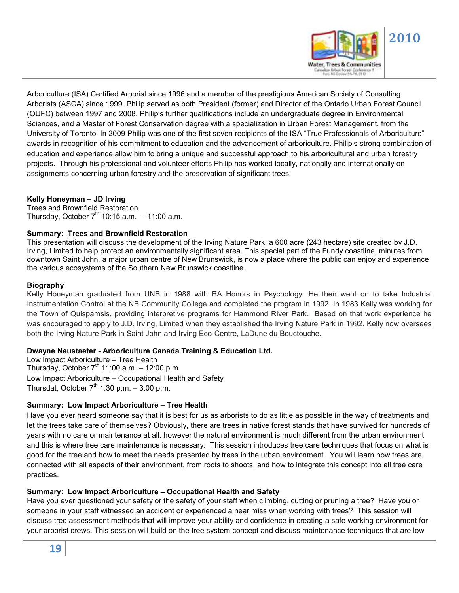

Arboriculture (ISA) Certified Arborist since 1996 and a member of the prestigious American Society of Consulting Arborists (ASCA) since 1999. Philip served as both President (former) and Director of the Ontario Urban Forest Council (OUFC) between 1997 and 2008. Philip's further qualifications include an undergraduate degree in Environmental Sciences, and a Master of Forest Conservation degree with a specialization in Urban Forest Management, from the University of Toronto. In 2009 Philip was one of the first seven recipients of the ISA "True Professionals of Arboriculture" awards in recognition of his commitment to education and the advancement of arboriculture. Philip's strong combination of education and experience allow him to bring a unique and successful approach to his arboricultural and urban forestry projects. Through his professional and volunteer efforts Philip has worked locally, nationally and internationally on assignments concerning urban forestry and the preservation of significant trees.

#### **Kelly Honeyman – JD Irving**

Trees and Brownfield Restoration Thursday, October  $7<sup>th</sup>$  10:15 a.m.  $-$  11:00 a.m.

#### **Summary: Trees and Brownfield Restoration**

This presentation will discuss the development of the Irving Nature Park; a 600 acre (243 hectare) site created by J.D. Irving, Limited to help protect an environmentally significant area. This special part of the Fundy coastline, minutes from downtown Saint John, a major urban centre of New Brunswick, is now a place where the public can enjoy and experience the various ecosystems of the Southern New Brunswick coastline.

#### **Biography**

Kelly Honeyman graduated from UNB in 1988 with BA Honors in Psychology. He then went on to take Industrial Instrumentation Control at the NB Community College and completed the program in 1992. In 1983 Kelly was working for the Town of Quispamsis, providing interpretive programs for Hammond River Park. Based on that work experience he was encouraged to apply to J.D. Irving, Limited when they established the Irving Nature Park in 1992. Kelly now oversees both the Irving Nature Park in Saint John and Irving Eco-Centre, LaDune du Bouctouche.

#### **Dwayne Neustaeter - Arboriculture Canada Training & Education Ltd.**

Low Impact Arboriculture – Tree Health Thursday, October  $7<sup>th</sup>$  11:00 a.m.  $-$  12:00 p.m. Low Impact Arboriculture – Occupational Health and Safety Thursdat, October  $7<sup>th</sup>$  1:30 p.m. – 3:00 p.m.

#### **Summary: Low Impact Arboriculture – Tree Health**

Have you ever heard someone say that it is best for us as arborists to do as little as possible in the way of treatments and let the trees take care of themselves? Obviously, there are trees in native forest stands that have survived for hundreds of years with no care or maintenance at all, however the natural environment is much different from the urban environment and this is where tree care maintenance is necessary. This session introduces tree care techniques that focus on what is good for the tree and how to meet the needs presented by trees in the urban environment. You will learn how trees are connected with all aspects of their environment, from roots to shoots, and how to integrate this concept into all tree care practices.

#### **Summary: Low Impact Arboriculture – Occupational Health and Safety**

Have you ever questioned your safety or the safety of your staff when climbing, cutting or pruning a tree? Have you or someone in your staff witnessed an accident or experienced a near miss when working with trees? This session will discuss tree assessment methods that will improve your ability and confidence in creating a safe working environment for your arborist crews. This session will build on the tree system concept and discuss maintenance techniques that are low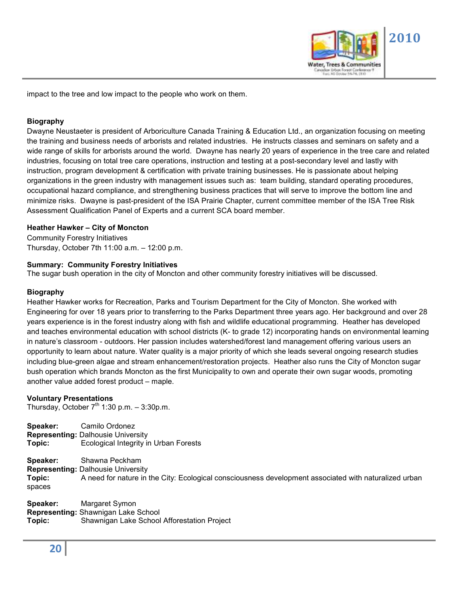

impact to the tree and low impact to the people who work on them.

#### **Biography**

Dwayne Neustaeter is president of Arboriculture Canada Training & Education Ltd., an organization focusing on meeting the training and business needs of arborists and related industries. He instructs classes and seminars on safety and a wide range of skills for arborists around the world. Dwayne has nearly 20 years of experience in the tree care and related industries, focusing on total tree care operations, instruction and testing at a post-secondary level and lastly with instruction, program development & certification with private training businesses. He is passionate about helping organizations in the green industry with management issues such as: team building, standard operating procedures, occupational hazard compliance, and strengthening business practices that will serve to improve the bottom line and minimize risks. Dwayne is past-president of the ISA Prairie Chapter, current committee member of the ISA Tree Risk Assessment Qualification Panel of Experts and a current SCA board member.

#### **Heather Hawker – City of Moncton**

Community Forestry Initiatives Thursday, October 7th 11:00 a.m. – 12:00 p.m.

#### **Summary: Community Forestry Initiatives**

The sugar bush operation in the city of Moncton and other community forestry initiatives will be discussed.

#### **Biography**

Heather Hawker works for Recreation, Parks and Tourism Department for the City of Moncton. She worked with Engineering for over 18 years prior to transferring to the Parks Department three years ago. Her background and over 28 years experience is in the forest industry along with fish and wildlife educational programming. Heather has developed and teaches environmental education with school districts (K- to grade 12) incorporating hands on environmental learning in nature's classroom - outdoors. Her passion includes watershed/forest land management offering various users an opportunity to learn about nature. Water quality is a major priority of which she leads several ongoing research studies including blue-green algae and stream enhancement/restoration projects. Heather also runs the City of Moncton sugar bush operation which brands Moncton as the first Municipality to own and operate their own sugar woods, promoting another value added forest product – maple.

#### **Voluntary Presentations**

Thursday, October  $7^{th}$  1:30 p.m.  $-$  3:30p.m.

**Speaker:** Camilo Ordonez **Representing:** Dalhousie University **Topic:** Ecological Integrity in Urban Forests

**Speaker:** Shawna Peckham

**Representing:** Dalhousie University

**Topic:** A need for nature in the City: Ecological consciousness development associated with naturalized urban spaces

**Speaker:** Margaret Symon **Representing:** Shawnigan Lake School **Topic:** Shawnigan Lake School Afforestation Project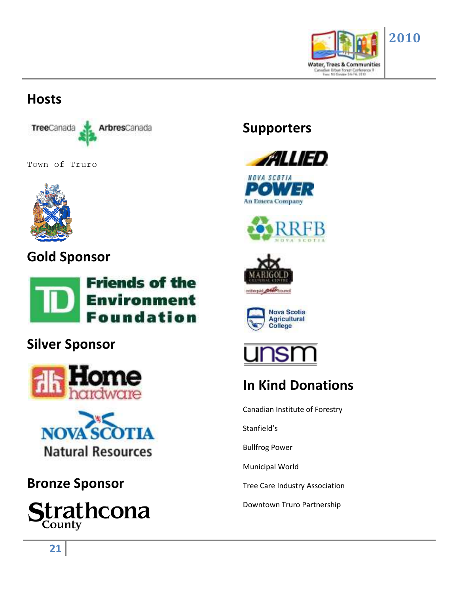

### **Hosts**



Town of Truro



**Gold Sponsor** 



**Silver Sponsor** 





## **Bronze Sponsor**



## **Supporters**



**NOVA SCOTIA** О. An Emera Company









# **In Kind Donations**

Canadian Institute of Forestry

Stanfield's

Bullfrog Power

Municipal World

Tree Care Industry Association

Downtown Truro Partnership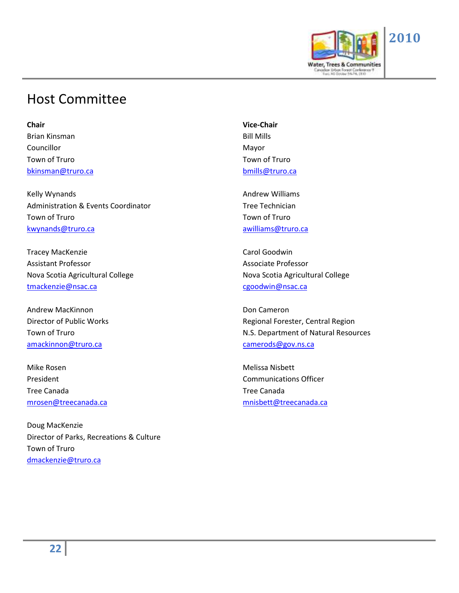

### Host Committee

**Chair**  Brian Kinsman Councillor Town of Truro bkinsman@truro.ca

Kelly Wynands Administration & Events Coordinator Town of Truro kwynands@truro.ca

Tracey MacKenzie Assistant Professor Nova Scotia Agricultural College tmackenzie@nsac.ca

Andrew MacKinnon Director of Public Works Town of Truro amackinnon@truro.ca

Mike Rosen President Tree Canada mrosen@treecanada.ca

Doug MacKenzie Director of Parks, Recreations & Culture Town of Truro dmackenzie@truro.ca

**Vice-Chair**  Bill Mills Mayor Town of Truro bmills@truro.ca

Andrew Williams Tree Technician Town of Truro awilliams@truro.ca

Carol Goodwin Associate Professor Nova Scotia Agricultural College cgoodwin@nsac.ca

Don Cameron Regional Forester, Central Region N.S. Department of Natural Resources camerods@gov.ns.ca

Melissa Nisbett Communications Officer Tree Canada mnisbett@treecanada.ca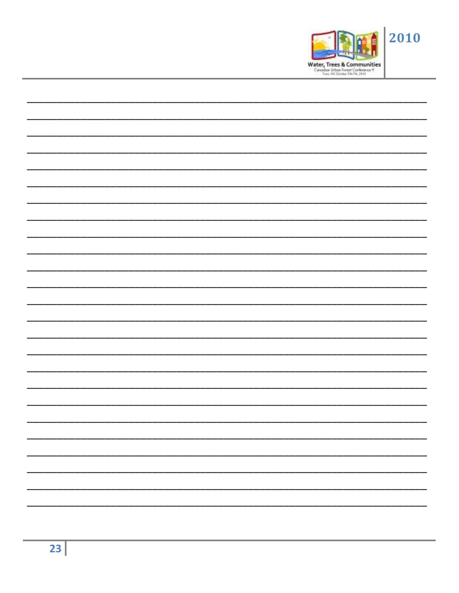

|  |  | - |
|--|--|---|
|  |  |   |
|  |  |   |
|  |  |   |
|  |  |   |
|  |  |   |
|  |  |   |
|  |  |   |
|  |  |   |
|  |  |   |
|  |  |   |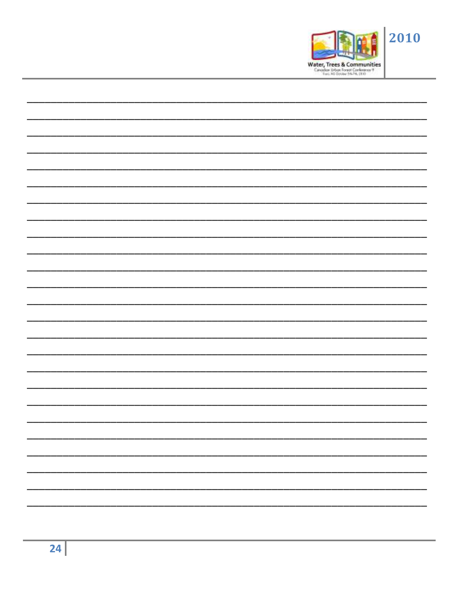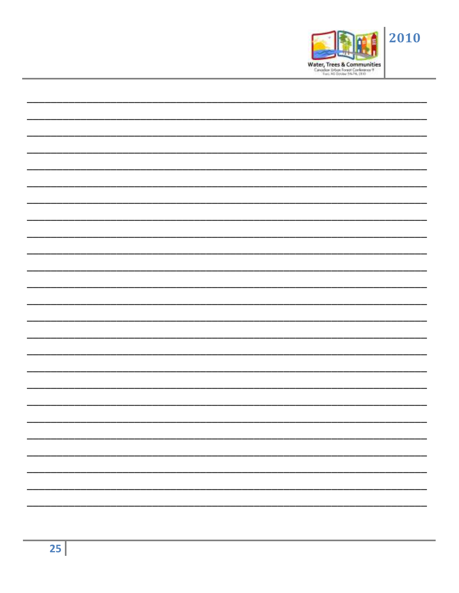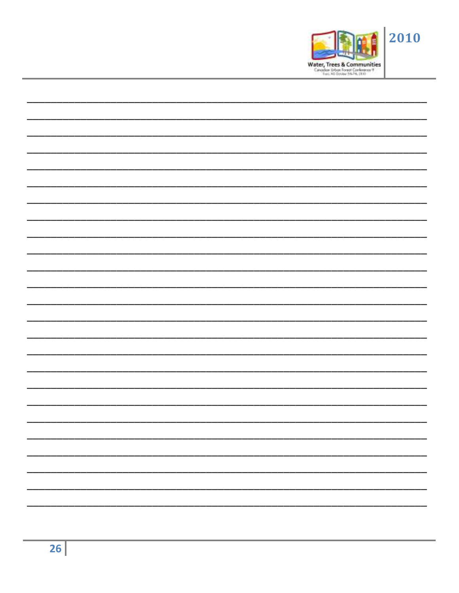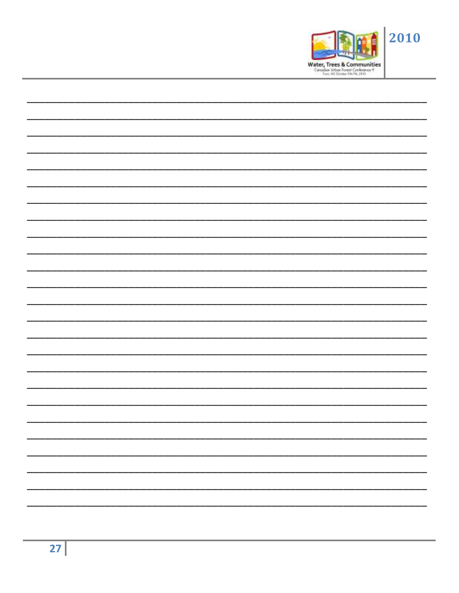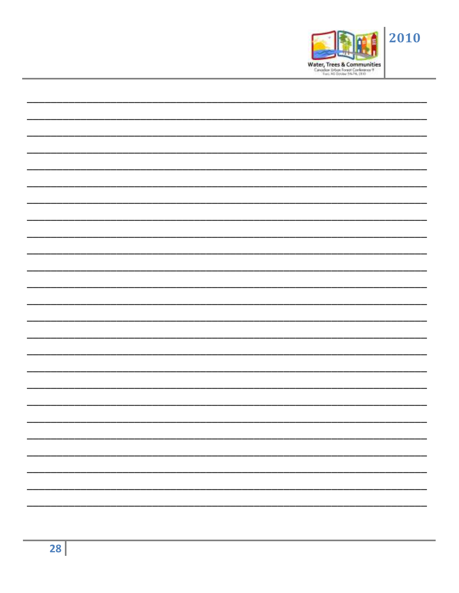

|  |  | - |
|--|--|---|
|  |  |   |
|  |  |   |
|  |  |   |
|  |  |   |
|  |  |   |
|  |  |   |
|  |  |   |
|  |  |   |
|  |  |   |
|  |  |   |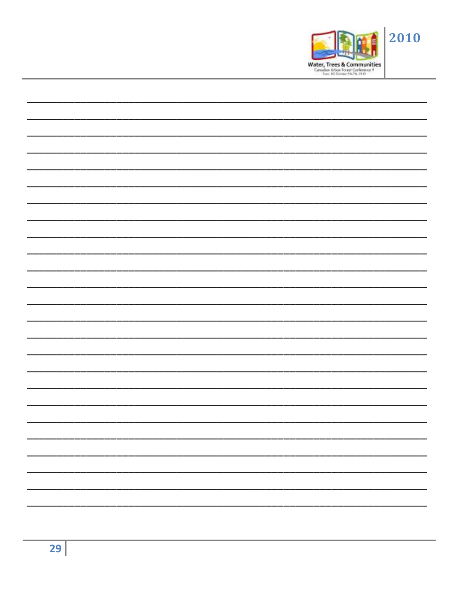

|  |  |  | ____ |
|--|--|--|------|
|  |  |  |      |
|  |  |  |      |
|  |  |  |      |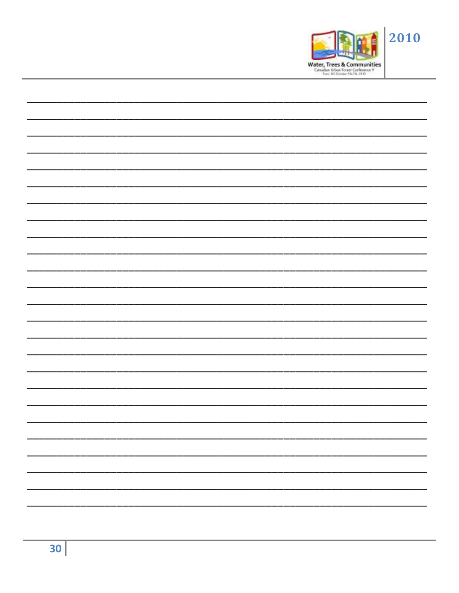

|  |  |  | Ξ.   |
|--|--|--|------|
|  |  |  |      |
|  |  |  |      |
|  |  |  | -    |
|  |  |  |      |
|  |  |  |      |
|  |  |  | ____ |
|  |  |  |      |
|  |  |  |      |
|  |  |  | —    |
|  |  |  |      |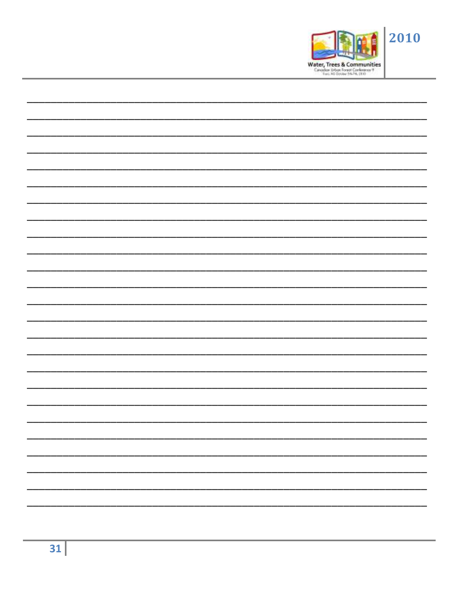

|  |  | - |
|--|--|---|
|  |  |   |
|  |  |   |
|  |  |   |
|  |  |   |
|  |  |   |
|  |  |   |
|  |  |   |
|  |  |   |
|  |  |   |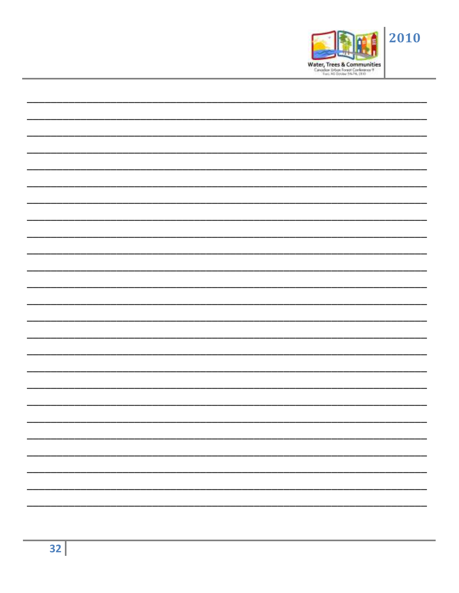

|  |  | - |
|--|--|---|
|  |  |   |
|  |  |   |
|  |  |   |
|  |  |   |
|  |  |   |
|  |  |   |
|  |  |   |
|  |  |   |
|  |  |   |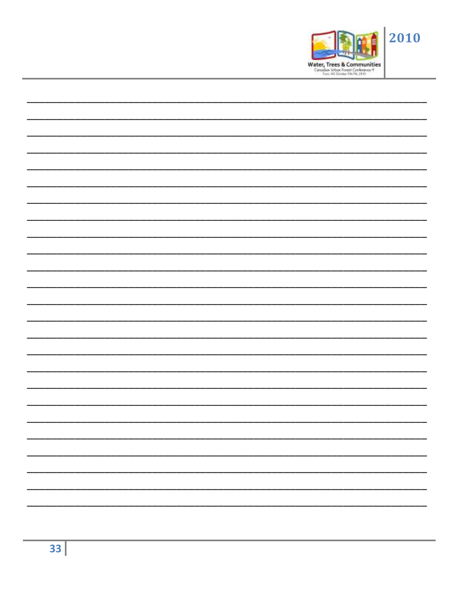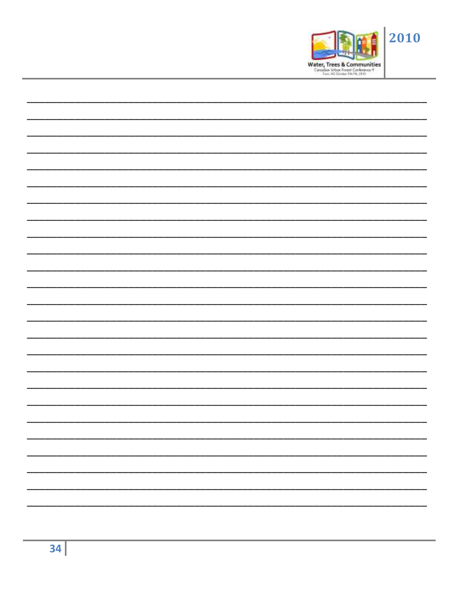

|  |  |  | $\overline{\phantom{0}}$ |
|--|--|--|--------------------------|
|  |  |  |                          |
|  |  |  |                          |
|  |  |  | -                        |
|  |  |  |                          |
|  |  |  |                          |
|  |  |  | -                        |
|  |  |  |                          |
|  |  |  |                          |
|  |  |  |                          |
|  |  |  | ———                      |
|  |  |  |                          |
|  |  |  |                          |
|  |  |  | Ξ.                       |
|  |  |  |                          |
|  |  |  |                          |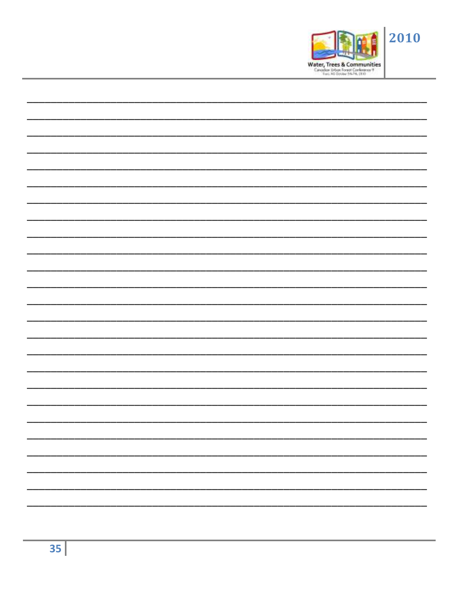